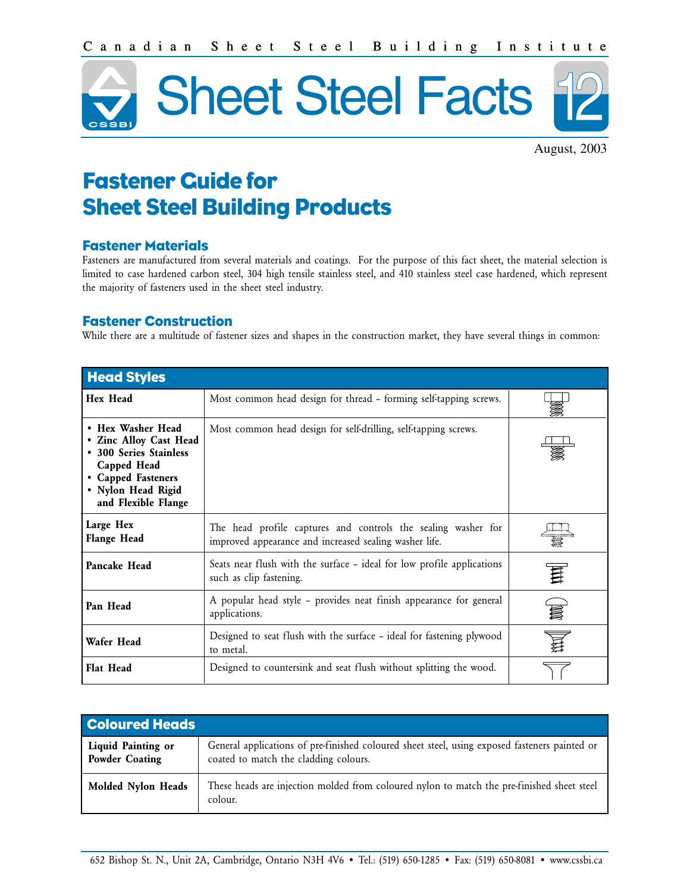

August, 2003

# Fastener Guide for Sheet Steel Building Products

## Fastener Materials

Fasteners are manufactured from several materials and coatings. For the purpose of this fact sheet, the material selection is limited to case hardened carbon steel, 304 high tensile stainless steel, and 410 stainless steel case hardened, which represent the majority of fasteners used in the sheet steel industry.

## Fastener Construction

While there are a multitude of fastener sizes and shapes in the construction market, they have several things in common:

| <b>Head Styles</b>                                                                                                                                      |                                                                                                                         |  |  |  |  |  |  |
|---------------------------------------------------------------------------------------------------------------------------------------------------------|-------------------------------------------------------------------------------------------------------------------------|--|--|--|--|--|--|
| <b>Hex Head</b>                                                                                                                                         |                                                                                                                         |  |  |  |  |  |  |
| • Hex Washer Head<br>• Zinc Alloy Cast Head<br>• 300 Series Stainless<br>Capped Head<br>• Capped Fasteners<br>• Nylon Head Rigid<br>and Flexible Flange | Most common head design for self-drilling, self-tapping screws.                                                         |  |  |  |  |  |  |
| Large Hex<br><b>Flange Head</b>                                                                                                                         | The head profile captures and controls the sealing washer for<br>improved appearance and increased sealing washer life. |  |  |  |  |  |  |
| Pancake Head                                                                                                                                            | Seats near flush with the surface – ideal for low profile applications<br>such as clip fastening.                       |  |  |  |  |  |  |
| Pan Head                                                                                                                                                | A popular head style - provides neat finish appearance for general<br>applications.                                     |  |  |  |  |  |  |
| Wafer Head                                                                                                                                              | Designed to seat flush with the surface - ideal for fastening plywood<br>to metal.                                      |  |  |  |  |  |  |
| <b>Flat Head</b>                                                                                                                                        | Designed to countersink and seat flush without splitting the wood.                                                      |  |  |  |  |  |  |

| <b>Coloured Heads</b>                |                                                                                                                                        |
|--------------------------------------|----------------------------------------------------------------------------------------------------------------------------------------|
| Liquid Painting or<br>Powder Coating | General applications of pre-finished coloured sheet steel, using exposed fasteners painted or<br>coated to match the cladding colours. |
| Molded Nylon Heads                   | These heads are injection molded from coloured nylon to match the pre-finished sheet steel<br>colour.                                  |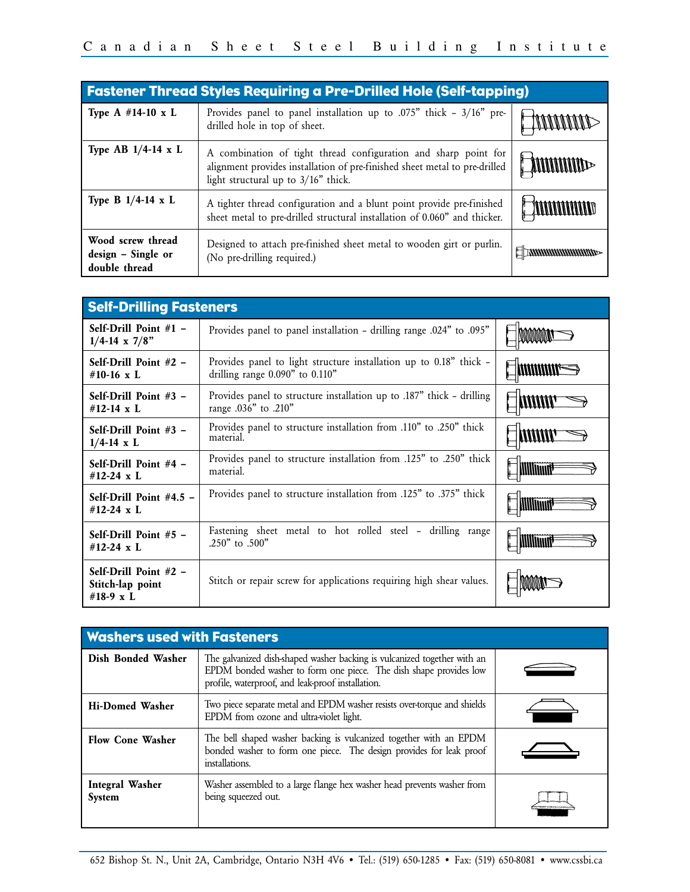| <b>Fastener Thread Styles Requiring a Pre-Drilled Hole (Self-tapping)</b> |                                                                                                                                                                                        |  |  |  |  |  |  |
|---------------------------------------------------------------------------|----------------------------------------------------------------------------------------------------------------------------------------------------------------------------------------|--|--|--|--|--|--|
| Type A $#14-10 \times L$                                                  | Provides panel to panel installation up to .075" thick - $3/16$ " pre-<br>drilled hole in top of sheet.                                                                                |  |  |  |  |  |  |
| Type AB $1/4$ -14 x L                                                     | A combination of tight thread configuration and sharp point for<br>alignment provides installation of pre-finished sheet metal to pre-drilled<br>light structural up to $3/16"$ thick. |  |  |  |  |  |  |
| Type B $1/4$ -14 x L                                                      | A tighter thread configuration and a blunt point provide pre-finished<br>sheet metal to pre-drilled structural installation of 0.060" and thicker.                                     |  |  |  |  |  |  |
| Wood screw thread<br>design - Single or<br>double thread                  | Designed to attach pre-finished sheet metal to wooden girt or purlin.<br>(No pre-drilling required.)                                                                                   |  |  |  |  |  |  |

| <b>Self-Drilling Fasteners</b>                                                                                                |                                                                                                           |                |  |  |  |
|-------------------------------------------------------------------------------------------------------------------------------|-----------------------------------------------------------------------------------------------------------|----------------|--|--|--|
| Self-Drill Point $#1 -$<br>$1/4$ -14 x 7/8"                                                                                   |                                                                                                           |                |  |  |  |
| Self-Drill Point $#2 -$<br>#10-16 $x L$                                                                                       | Provides panel to light structure installation up to 0.18" thick -<br>drilling range $0.090"$ to $0.110"$ |                |  |  |  |
| Self-Drill Point $#3 -$<br>#12-14 $\times$ L                                                                                  | Provides panel to structure installation up to .187" thick – drilling<br>range .036" to .210"             |                |  |  |  |
| Self-Drill Point $#3 -$<br>$1/4 - 14$ x L                                                                                     |                                                                                                           |                |  |  |  |
| Provides panel to structure installation from .125" to .250" thick<br>Self-Drill Point #4 -<br>material.<br>#12-24 $\times$ L |                                                                                                           | <b>MINIMUS</b> |  |  |  |
| Self-Drill Point $#4.5 -$<br>#12-24 $\times$ L                                                                                | Provides panel to structure installation from .125" to .375" thick                                        |                |  |  |  |
| Self-Drill Point #5 -<br>#12-24 $x L$                                                                                         | Fastening sheet metal to hot rolled steel - drilling range<br>.250" to .500"                              | WWWW           |  |  |  |
| Self-Drill Point $#2 -$<br>Stitch-lap point<br>#18-9 x L                                                                      | Stitch or repair screw for applications requiring high shear values.                                      |                |  |  |  |

| <b>Washers used with Fasteners</b> |                                                                                                                                                                                                    |  |  |  |  |  |  |  |
|------------------------------------|----------------------------------------------------------------------------------------------------------------------------------------------------------------------------------------------------|--|--|--|--|--|--|--|
| Dish Bonded Washer                 | The galvanized dish-shaped washer backing is vulcanized together with an<br>EPDM bonded washer to form one piece. The dish shape provides low<br>profile, waterproof, and leak-proof installation. |  |  |  |  |  |  |  |
| <b>Hi-Domed Washer</b>             | Two piece separate metal and EPDM washer resists over-torque and shields<br>EPDM from ozone and ultra-violet light.                                                                                |  |  |  |  |  |  |  |
| <b>Flow Cone Washer</b>            | The bell shaped washer backing is vulcanized together with an EPDM<br>bonded washer to form one piece. The design provides for leak proof<br>installations.                                        |  |  |  |  |  |  |  |
| <b>Integral Washer</b><br>System   | Washer assembled to a large flange hex washer head prevents washer from<br>being squeezed out.                                                                                                     |  |  |  |  |  |  |  |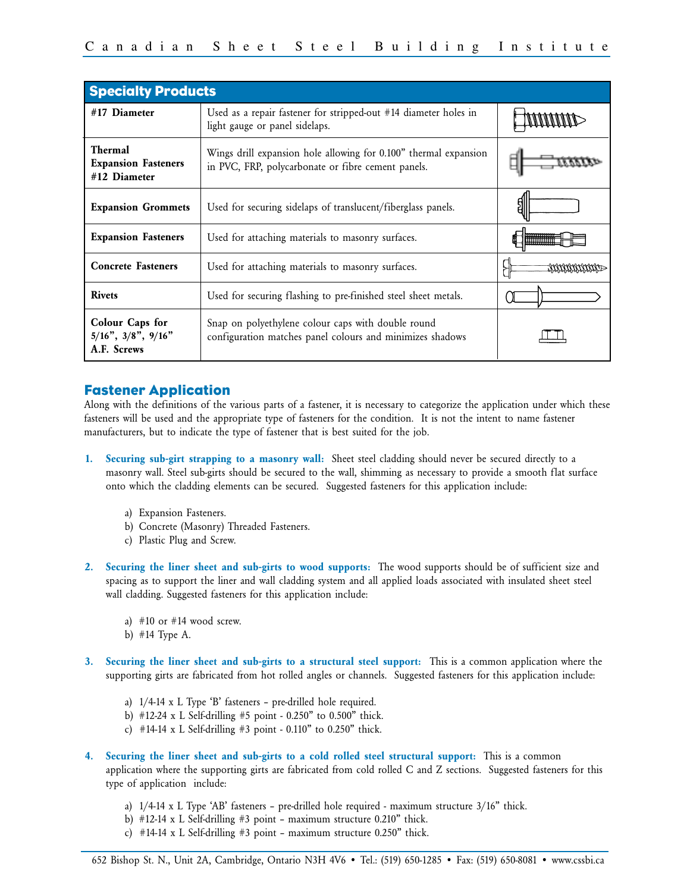| <b>Specialty Products</b>                                     |                                                                                                                        |  |
|---------------------------------------------------------------|------------------------------------------------------------------------------------------------------------------------|--|
| #17 Diameter                                                  | Used as a repair fastener for stripped-out #14 diameter holes in<br>light gauge or panel sidelaps.                     |  |
| <b>Thermal</b><br><b>Expansion Fasteners</b><br>#12 Diameter  | Wings drill expansion hole allowing for 0.100" thermal expansion<br>in PVC, FRP, polycarbonate or fibre cement panels. |  |
| <b>Expansion Grommets</b>                                     | Used for securing sidelaps of translucent/fiberglass panels.                                                           |  |
| <b>Expansion Fasteners</b>                                    | Used for attaching materials to masonry surfaces.                                                                      |  |
| <b>Concrete Fasteners</b>                                     | Used for attaching materials to masonry surfaces.                                                                      |  |
| <b>Rivets</b>                                                 | Used for securing flashing to pre-finished steel sheet metals.                                                         |  |
| Colour Caps for<br>$5/16$ ", $3/8$ ", $9/16$ "<br>A.F. Screws | Snap on polyethylene colour caps with double round<br>configuration matches panel colours and minimizes shadows        |  |

# Fastener Application

Along with the definitions of the various parts of a fastener, it is necessary to categorize the application under which these fasteners will be used and the appropriate type of fasteners for the condition. It is not the intent to name fastener manufacturers, but to indicate the type of fastener that is best suited for the job.

- **1. Securing sub-girt strapping to a masonry wall:** Sheet steel cladding should never be secured directly to a masonry wall. Steel sub-girts should be secured to the wall, shimming as necessary to provide a smooth flat surface onto which the cladding elements can be secured. Suggested fasteners for this application include:
	- a) Expansion Fasteners.
	- b) Concrete (Masonry) Threaded Fasteners.
	- c) Plastic Plug and Screw.
- **2. Securing the liner sheet and sub-girts to wood supports:** The wood supports should be of sufficient size and spacing as to support the liner and wall cladding system and all applied loads associated with insulated sheet steel wall cladding. Suggested fasteners for this application include:
	- a)  $#10$  or  $#14$  wood screw.
	- b) #14 Type A.
- **3. Securing the liner sheet and sub-girts to a structural steel support:** This is a common application where the supporting girts are fabricated from hot rolled angles or channels. Suggested fasteners for this application include:
	- a) 1/4-14 x L Type 'B' fasteners pre-drilled hole required.
	- b) #12-24 x L Self-drilling #5 point 0.250" to 0.500" thick.
	- c) #14-14 x L Self-drilling #3 point 0.110" to 0.250" thick.
- **4. Securing the liner sheet and sub-girts to a cold rolled steel structural support:** This is a common application where the supporting girts are fabricated from cold rolled C and Z sections. Suggested fasteners for this type of application include:
	- a) 1/4-14 x L Type 'AB' fasteners pre-drilled hole required maximum structure 3/16" thick.
	- b)  $\#12-14 \times L$  Self-drilling  $\#3$  point maximum structure 0.210" thick.
	- c)  $#14-14 \times L$  Self-drilling  $#3$  point maximum structure 0.250" thick.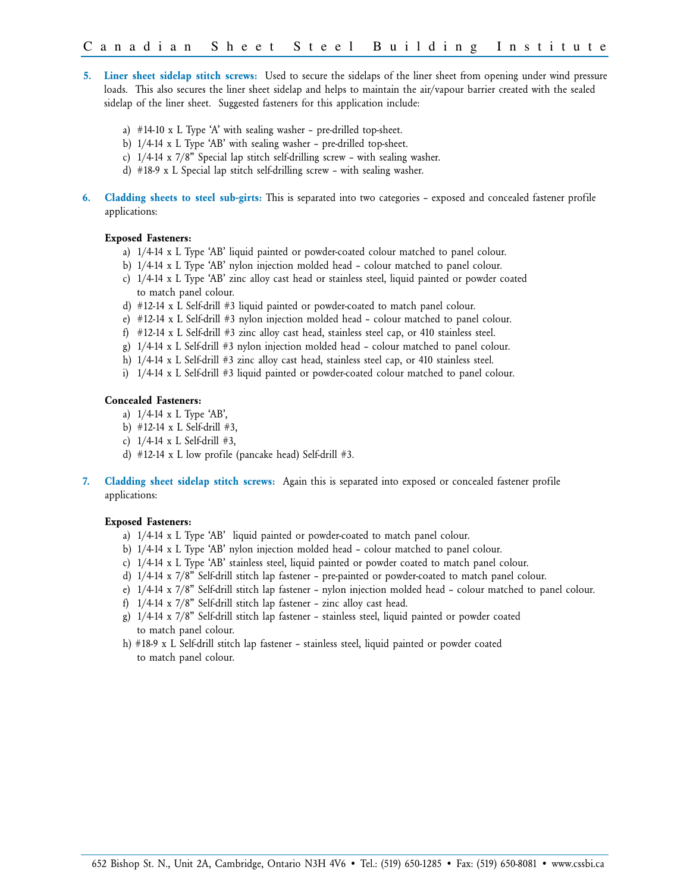- **5. Liner sheet sidelap stitch screws:** Used to secure the sidelaps of the liner sheet from opening under wind pressure loads. This also secures the liner sheet sidelap and helps to maintain the air/vapour barrier created with the sealed sidelap of the liner sheet. Suggested fasteners for this application include:
	- a) #14-10 x L Type 'A' with sealing washer pre-drilled top-sheet.
	- b) 1/4-14 x L Type 'AB' with sealing washer pre-drilled top-sheet.
	- c) 1/4-14 x 7/8" Special lap stitch self-drilling screw with sealing washer.
	- d) #18-9 x L Special lap stitch self-drilling screw with sealing washer.
- **6. Cladding sheets to steel sub-girts:** This is separated into two categories exposed and concealed fastener profile applications:

#### **Exposed Fasteners:**

- a) 1/4-14 x L Type 'AB' liquid painted or powder-coated colour matched to panel colour.
- b) 1/4-14 x L Type 'AB' nylon injection molded head colour matched to panel colour.
- c) 1/4-14 x L Type 'AB' zinc alloy cast head or stainless steel, liquid painted or powder coated to match panel colour.
- d) #12-14 x L Self-drill #3 liquid painted or powder-coated to match panel colour.
- e) #12-14 x L Self-drill #3 nylon injection molded head colour matched to panel colour.
- f) #12-14 x L Self-drill #3 zinc alloy cast head, stainless steel cap, or 410 stainless steel.
- g) 1/4-14 x L Self-drill #3 nylon injection molded head colour matched to panel colour.
- h) 1/4-14 x L Self-drill #3 zinc alloy cast head, stainless steel cap, or 410 stainless steel.
- i) 1/4-14 x L Self-drill #3 liquid painted or powder-coated colour matched to panel colour.

#### **Concealed Fasteners:**

- a) 1/4-14 x L Type 'AB',
- b) #12-14 x L Self-drill #3,
- c) 1/4-14 x L Self-drill #3,
- d)  $\#12-14 \times L$  low profile (pancake head) Self-drill  $\#3$ .
- **7. Cladding sheet sidelap stitch screws:** Again this is separated into exposed or concealed fastener profile applications:

#### **Exposed Fasteners:**

- a) 1/4-14 x L Type 'AB' liquid painted or powder-coated to match panel colour.
- b) 1/4-14 x L Type 'AB' nylon injection molded head colour matched to panel colour.
- c) 1/4-14 x L Type 'AB' stainless steel, liquid painted or powder coated to match panel colour.
- d) 1/4-14 x 7/8" Self-drill stitch lap fastener pre-painted or powder-coated to match panel colour.
- e) 1/4-14 x 7/8" Self-drill stitch lap fastener nylon injection molded head colour matched to panel colour.
- f) 1/4-14 x 7/8" Self-drill stitch lap fastener zinc alloy cast head.
- g) 1/4-14 x 7/8" Self-drill stitch lap fastener stainless steel, liquid painted or powder coated to match panel colour.
- h) #18-9 x L Self-drill stitch lap fastener stainless steel, liquid painted or powder coated to match panel colour.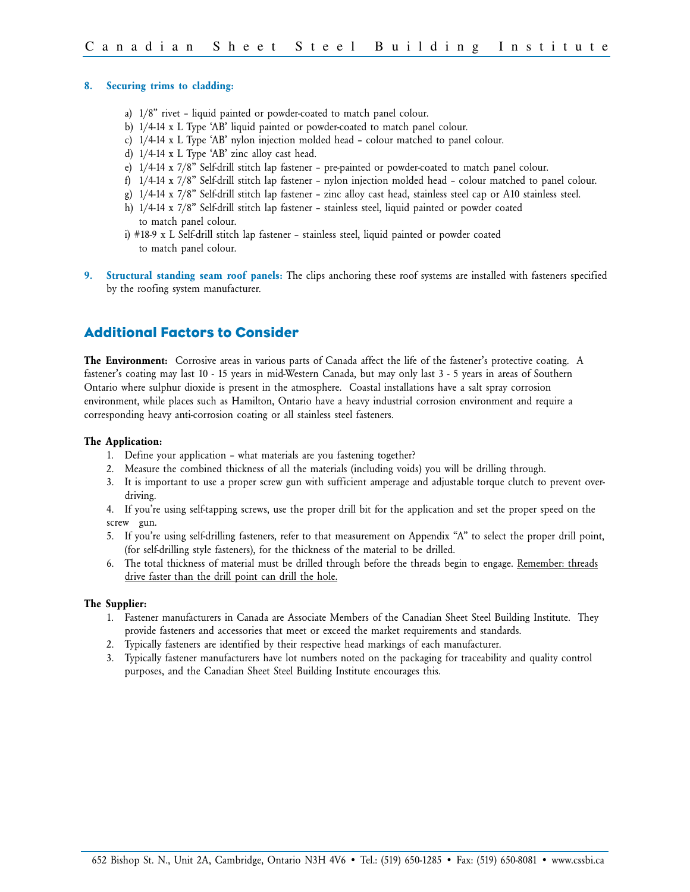#### **8. Securing trims to cladding:**

- a) 1/8" rivet liquid painted or powder-coated to match panel colour.
- b) 1/4-14 x L Type 'AB' liquid painted or powder-coated to match panel colour.
- c) 1/4-14 x L Type 'AB' nylon injection molded head colour matched to panel colour.
- d) 1/4-14 x L Type 'AB' zinc alloy cast head.
- e) 1/4-14 x 7/8" Self-drill stitch lap fastener pre-painted or powder-coated to match panel colour.
- f) 1/4-14 x 7/8" Self-drill stitch lap fastener nylon injection molded head colour matched to panel colour.
- g) 1/4-14 x 7/8" Self-drill stitch lap fastener zinc alloy cast head, stainless steel cap or A10 stainless steel.
- h) 1/4-14 x 7/8" Self-drill stitch lap fastener stainless steel, liquid painted or powder coated to match panel colour.
- i) #18-9 x L Self-drill stitch lap fastener stainless steel, liquid painted or powder coated to match panel colour.
- **9. Structural standing seam roof panels:** The clips anchoring these roof systems are installed with fasteners specified by the roofing system manufacturer.

# Additional Factors to Consider

**The Environment:** Corrosive areas in various parts of Canada affect the life of the fastener's protective coating. A fastener's coating may last 10 - 15 years in mid-Western Canada, but may only last 3 - 5 years in areas of Southern Ontario where sulphur dioxide is present in the atmosphere. Coastal installations have a salt spray corrosion environment, while places such as Hamilton, Ontario have a heavy industrial corrosion environment and require a corresponding heavy anti-corrosion coating or all stainless steel fasteners.

#### **The Application:**

- 1. Define your application what materials are you fastening together?
- 2. Measure the combined thickness of all the materials (including voids) you will be drilling through.
- 3. It is important to use a proper screw gun with sufficient amperage and adjustable torque clutch to prevent overdriving.
- 4. If you're using self-tapping screws, use the proper drill bit for the application and set the proper speed on the screw gun.
- 5. If you're using self-drilling fasteners, refer to that measurement on Appendix "A" to select the proper drill point, (for self-drilling style fasteners), for the thickness of the material to be drilled.
- 6. The total thickness of material must be drilled through before the threads begin to engage. Remember: threads drive faster than the drill point can drill the hole.

#### **The Supplier:**

- 1. Fastener manufacturers in Canada are Associate Members of the Canadian Sheet Steel Building Institute. They provide fasteners and accessories that meet or exceed the market requirements and standards.
- 2. Typically fasteners are identified by their respective head markings of each manufacturer.
- 3. Typically fastener manufacturers have lot numbers noted on the packaging for traceability and quality control purposes, and the Canadian Sheet Steel Building Institute encourages this.